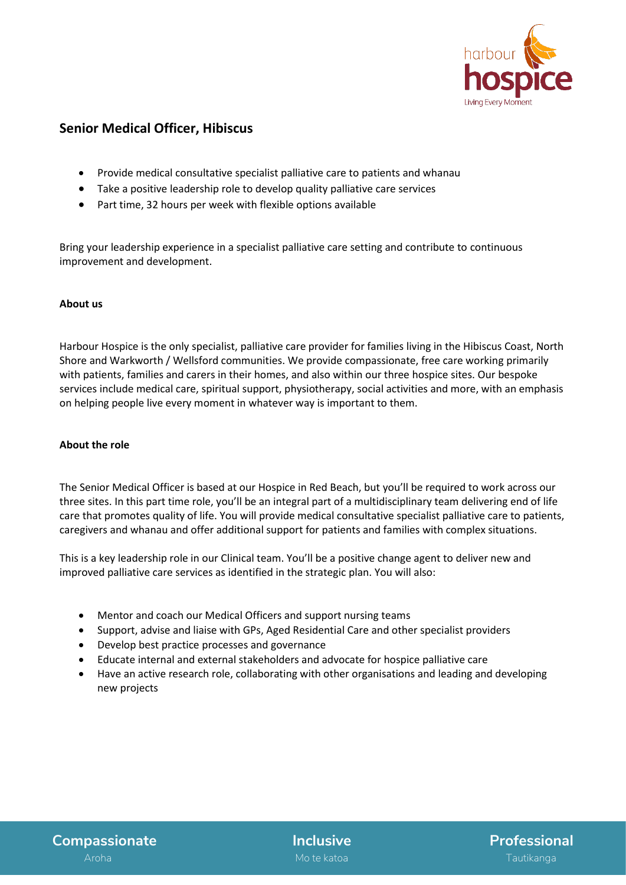

# **Senior Medical Officer, Hibiscus**

- Provide medical consultative specialist palliative care to patients and whanau
- Take a positive leadership role to develop quality palliative care services
- Part time, 32 hours per week with flexible options available

Bring your leadership experience in a specialist palliative care setting and contribute to continuous improvement and development.

## **About us**

Harbour Hospice is the only specialist, palliative care provider for families living in the Hibiscus Coast, North Shore and Warkworth / Wellsford communities. We provide compassionate, free care working primarily with patients, families and carers in their homes, and also within our three hospice sites. Our bespoke services include medical care, spiritual support, physiotherapy, social activities and more, with an emphasis on helping people live every moment in whatever way is important to them.

## **About the role**

The Senior Medical Officer is based at our Hospice in Red Beach, but you'll be required to work across our three sites. In this part time role, you'll be an integral part of a multidisciplinary team delivering end of life care that promotes quality of life. You will provide medical consultative specialist palliative care to patients, caregivers and whanau and offer additional support for patients and families with complex situations.

This is a key leadership role in our Clinical team. You'll be a positive change agent to deliver new and improved palliative care services as identified in the strategic plan. You will also:

- Mentor and coach our Medical Officers and support nursing teams
- Support, advise and liaise with GPs, Aged Residential Care and other specialist providers
- Develop best practice processes and governance
- Educate internal and external stakeholders and advocate for hospice palliative care
- Have an active research role, collaborating with other organisations and leading and developing new projects